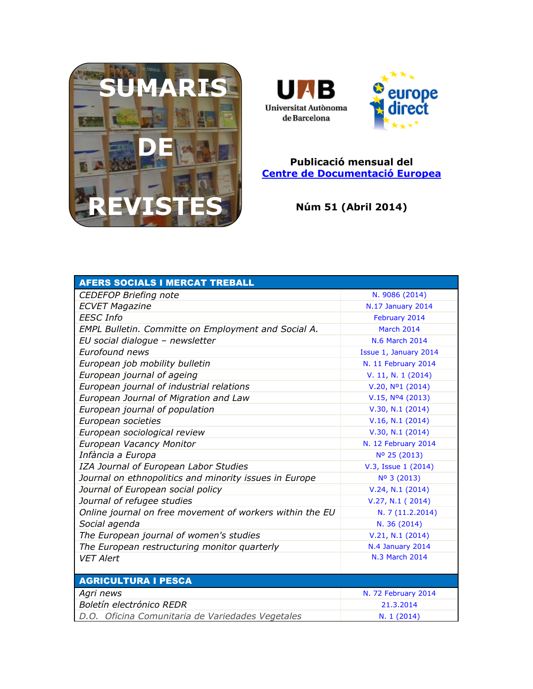



## **Publicació mensual del [Centre de Documentació Europea](http://www.uab.cat/biblioteques/cde/)**

**Núm 51 (Abril 2014)**

| <b>AFERS SOCIALS I MERCAT TREBALL</b>                    |                              |
|----------------------------------------------------------|------------------------------|
| <b>CEDEFOP Briefing note</b>                             | N. 9086 (2014)               |
| <b>ECVET Magazine</b>                                    | N.17 January 2014            |
| <b>EESC</b> Info                                         | February 2014                |
| EMPL Bulletin. Committe on Employment and Social A.      | <b>March 2014</b>            |
| EU social dialogue - newsletter                          | <b>N.6 March 2014</b>        |
| <b>Eurofound news</b>                                    | Issue 1, January 2014        |
| European job mobility bulletin                           | N. 11 February 2014          |
| European journal of ageing                               | V. 11, N. 1 (2014)           |
| European journal of industrial relations                 | V.20, N <sup>o</sup> 1(2014) |
| European Journal of Migration and Law                    | $V.15, N04$ (2013)           |
| European journal of population                           | V.30, N.1 (2014)             |
| European societies                                       | V.16, N.1 (2014)             |
| European sociological review                             | V.30, N.1 (2014)             |
| European Vacancy Monitor                                 | N. 12 February 2014          |
| Infància a Europa                                        | Nº 25 (2013)                 |
| IZA Journal of European Labor Studies                    | V.3, Issue 1 (2014)          |
| Journal on ethnopolitics and minority issues in Europe   | Nº 3 (2013)                  |
| Journal of European social policy                        | V.24, N.1 (2014)             |
| Journal of refugee studies                               | V.27, N.1 (2014)             |
| Online journal on free movement of workers within the EU | N. 7 (11.2.2014)             |
| Social agenda                                            | N. 36 (2014)                 |
| The European journal of women's studies                  | V.21, N.1 (2014)             |
| The European restructuring monitor quarterly             | N.4 January 2014             |
| <b>VET Alert</b>                                         | N.3 March 2014               |
|                                                          |                              |
| <b>AGRICULTURA I PESCA</b>                               |                              |
| Agri news                                                | N. 72 February 2014          |
| Boletín electrónico REDR                                 | 21.3.2014                    |
| D.O. Oficina Comunitaria de Variedades Vegetales         | N. 1 (2014)                  |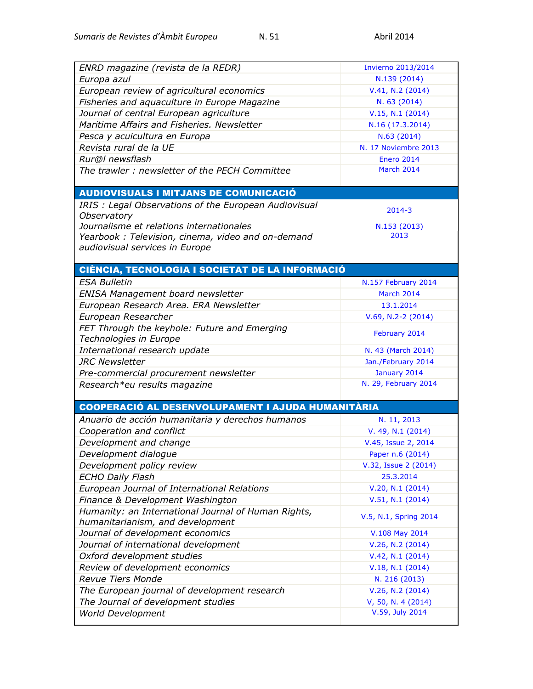| ENRD magazine (revista de la REDR)                       | <b>Invierno 2013/2014</b> |
|----------------------------------------------------------|---------------------------|
| Europa azul                                              | N.139 (2014)              |
| European review of agricultural economics                | V.41, N.2 (2014)          |
| Fisheries and aquaculture in Europe Magazine             | N. 63 (2014)              |
| Journal of central European agriculture                  | V.15, N.1 (2014)          |
| Maritime Affairs and Fisheries. Newsletter               | N.16 (17.3.2014)          |
| Pesca y acuicultura en Europa                            | N.63 (2014)               |
| Revista rural de la UE                                   | N. 17 Noviembre 2013      |
| Rur@l newsflash                                          | <b>Enero 2014</b>         |
| The trawler: newsletter of the PECH Committee            | March 2014                |
|                                                          |                           |
| <b>AUDIOVISUALS I MITJANS DE COMUNICACIÓ</b>             |                           |
| IRIS: Legal Observations of the European Audiovisual     | $2014 - 3$                |
| Observatory                                              |                           |
| Journalisme et relations internationales                 | N.153 (2013)              |
| Yearbook: Television, cinema, video and on-demand        | 2013                      |
| audiovisual services in Europe                           |                           |
|                                                          |                           |
| CIÈNCIA, TECNOLOGIA I SOCIETAT DE LA INFORMACIÓ          |                           |
| <b>ESA Bulletin</b>                                      | N.157 February 2014       |
| ENISA Management board newsletter                        | March 2014                |
| European Research Area. ERA Newsletter                   | 13.1.2014                 |
| European Researcher                                      | $V.69, N.2-2(2014)$       |
| FET Through the keyhole: Future and Emerging             | February 2014             |
| Technologies in Europe                                   |                           |
| International research update                            | N. 43 (March 2014)        |
| <b>JRC Newsletter</b>                                    | Jan./February 2014        |
| Pre-commercial procurement newsletter                    | January 2014              |
| Research*eu results magazine                             | N. 29, February 2014      |
| <b>COOPERACIÓ AL DESENVOLUPAMENT I AJUDA HUMANITÀRIA</b> |                           |
|                                                          |                           |
| Anuario de acción humanitaria y derechos humanos         | N. 11, 2013               |
| Cooperation and conflict                                 | V. 49, N.1 (2014)         |
| Development and change                                   | V.45, Issue 2, 2014       |
| Development dialogue                                     | Paper n.6 (2014)          |
| Development policy review                                | V.32, Issue 2 (2014)      |
| <b>ECHO Daily Flash</b>                                  | 25.3.2014                 |
| European Journal of International Relations              | V.20, N.1 (2014)          |
| Finance & Development Washington                         | V.51, N.1 (2014)          |
| Humanity: an International Journal of Human Rights,      | V.5, N.1, Spring 2014     |
| humanitarianism, and development                         |                           |
| Journal of development economics                         | V.108 May 2014            |
| Journal of international development                     | V.26, N.2 (2014)          |
| Oxford development studies                               | V.42, N.1 (2014)          |
| Review of development economics                          | V.18, N.1 (2014)          |
| <b>Revue Tiers Monde</b>                                 | N. 216 (2013)             |
| The European journal of development research             | V.26, N.2 (2014)          |
| The Journal of development studies                       | V, 50, N. 4 (2014)        |
| <b>World Development</b>                                 | V.59, July 2014           |
|                                                          |                           |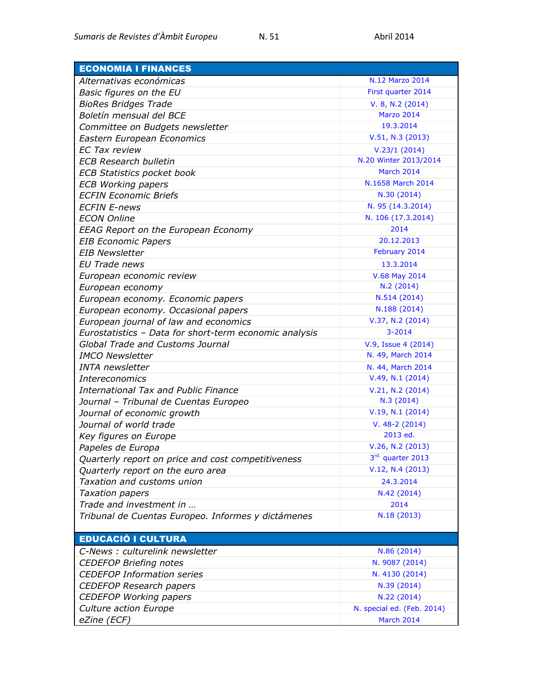| <b>ECONOMIA I FINANCES</b>                             |                            |
|--------------------------------------------------------|----------------------------|
| Alternativas económicas                                | N.12 Marzo 2014            |
| Basic figures on the EU                                | First quarter 2014         |
| <b>BioRes Bridges Trade</b>                            | V. 8, N.2 (2014)           |
| Boletín mensual del BCE                                | <b>Marzo 2014</b>          |
| Committee on Budgets newsletter                        | 19.3.2014                  |
| Eastern European Economics                             | V.51, N.3 (2013)           |
| <b>EC Tax review</b>                                   | V.23/1(2014)               |
| <b>ECB Research bulletin</b>                           | N.20 Winter 2013/2014      |
| <b>ECB Statistics pocket book</b>                      | March 2014                 |
| <b>ECB Working papers</b>                              | N.1658 March 2014          |
| <b>ECFIN Economic Briefs</b>                           | N.30 (2014)                |
| <b>ECFIN E-news</b>                                    | N. 95 (14.3.2014)          |
| <b>ECON Online</b>                                     | N. 106 (17.3.2014)         |
| <b>EEAG Report on the European Economy</b>             | 2014                       |
| <b>EIB Economic Papers</b>                             | 20.12.2013                 |
| <b>EIB Newsletter</b>                                  | February 2014              |
| EU Trade news                                          | 13.3.2014                  |
| European economic review                               | V.68 May 2014              |
| European economy                                       | N.2(2014)                  |
| European economy. Economic papers                      | N.514 (2014)               |
| European economy. Occasional papers                    | N.188 (2014)               |
| European journal of law and economics                  | V.37, N.2 (2014)           |
| Eurostatistics - Data for short-term economic analysis | $3 - 2014$                 |
| <b>Global Trade and Customs Journal</b>                | V.9, Issue 4 (2014)        |
| <b>IMCO Newsletter</b>                                 | N. 49, March 2014          |
| <b>INTA</b> newsletter                                 | N. 44, March 2014          |
| <b>Intereconomics</b>                                  | V.49, N.1 (2014)           |
| <b>International Tax and Public Finance</b>            | V.21, N.2 (2014)           |
| Journal - Tribunal de Cuentas Europeo                  | N.3 (2014)                 |
| Journal of economic growth                             | V.19, N.1 (2014)           |
| Journal of world trade                                 | $V. 48-2(2014)$            |
| Key figures on Europe                                  | 2013 ed.                   |
| Papeles de Europa                                      | V.26, N.2 (2013)           |
| Quarterly report on price and cost competitiveness     | 3rd. quarter 2013          |
| Quarterly report on the euro area                      | V.12, N.4 (2013)           |
| Taxation and customs union                             | 24.3.2014                  |
| <b>Taxation papers</b>                                 | N.42 (2014)                |
| Trade and investment in                                | 2014                       |
| Tribunal de Cuentas Europeo. Informes y dictámenes     | N.18 (2013)                |
|                                                        |                            |
| <b>EDUCACIÓ I CULTURA</b>                              |                            |
| C-News : culturelink newsletter                        | N.86 (2014)                |
| <b>CEDEFOP Briefing notes</b>                          | N. 9087 (2014)             |
| <b>CEDEFOP Information series</b>                      | N. 4130 (2014)             |
| <b>CEDEFOP Research papers</b>                         | N.39 (2014)                |
| <b>CEDEFOP Working papers</b>                          | N.22 (2014)                |
| Culture action Europe                                  | N. special ed. (Feb. 2014) |
| eZine (ECF)                                            | March 2014                 |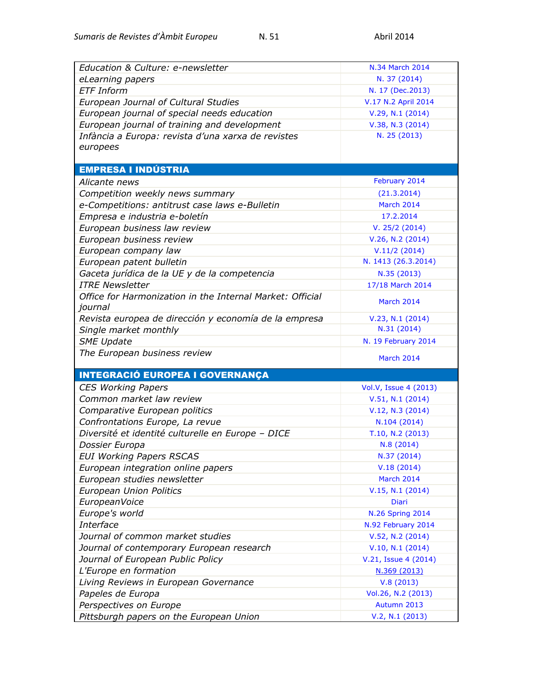| Education & Culture: e-newsletter                                    | N.34 March 2014         |
|----------------------------------------------------------------------|-------------------------|
| eLearning papers                                                     | N. 37 (2014)            |
| <b>ETF</b> Inform                                                    | N. 17 (Dec.2013)        |
| European Journal of Cultural Studies                                 | V.17 N.2 April 2014     |
| European journal of special needs education                          | V.29, N.1 (2014)        |
| European journal of training and development                         | V.38, N.3 (2014)        |
| Infància a Europa: revista d'una xarxa de revistes                   | N. 25 (2013)            |
| europees                                                             |                         |
|                                                                      |                         |
| EMPRESA I INDÚSTRIA                                                  |                         |
| Alicante news                                                        | February 2014           |
| Competition weekly news summary                                      | (21.3.2014)             |
| e-Competitions: antitrust case laws e-Bulletin                       | March 2014              |
| Empresa e industria e-boletín                                        | 17.2.2014               |
| European business law review                                         | V. 25/2 (2014)          |
| European business review                                             | V.26, N.2 (2014)        |
| European company law                                                 | V.11/2(2014)            |
| European patent bulletin                                             | N. 1413 (26.3.2014)     |
| Gaceta jurídica de la UE y de la competencia                         | N.35 (2013)             |
| <b>ITRE Newsletter</b>                                               | 17/18 March 2014        |
| Office for Harmonization in the Internal Market: Official<br>journal | March 2014              |
| Revista europea de dirección y economía de la empresa                | V.23, N.1 (2014)        |
| Single market monthly                                                | N.31 (2014)             |
|                                                                      |                         |
|                                                                      |                         |
| <b>SME Update</b>                                                    | N. 19 February 2014     |
| The European business review                                         | March 2014              |
| <b>INTEGRACIÓ EUROPEA I GOVERNANÇA</b>                               |                         |
| <b>CES Working Papers</b>                                            | Vol.V, Issue 4 (2013)   |
| Common market law review                                             | V.51, N.1 (2014)        |
| Comparative European politics                                        | V.12, N.3 (2014)        |
| Confrontations Europe, La revue                                      | N.104 (2014)            |
| Diversité et identité culturelle en Europe - DICE                    | T.10, N.2 (2013)        |
| Dossier Europa                                                       | N.8 (2014)              |
| <b>EUI Working Papers RSCAS</b>                                      | N.37 (2014)             |
| European integration online papers                                   | V.18(2014)              |
| European studies newsletter                                          | March 2014              |
| <b>European Union Politics</b>                                       | V.15, N.1 (2014)        |
| EuropeanVoice                                                        | Diari                   |
| Europe's world                                                       | <b>N.26 Spring 2014</b> |
| Interface                                                            | N.92 February 2014      |
| Journal of common market studies                                     | V.52, N.2 (2014)        |
| Journal of contemporary European research                            | V.10, N.1 (2014)        |
| Journal of European Public Policy                                    | V.21, Issue 4 (2014)    |
| L'Europe en formation                                                | N.369 (2013)            |
| Living Reviews in European Governance                                | V.8(2013)               |
| Papeles de Europa                                                    | Vol.26, N.2 (2013)      |
| Perspectives on Europe                                               | Autumn 2013             |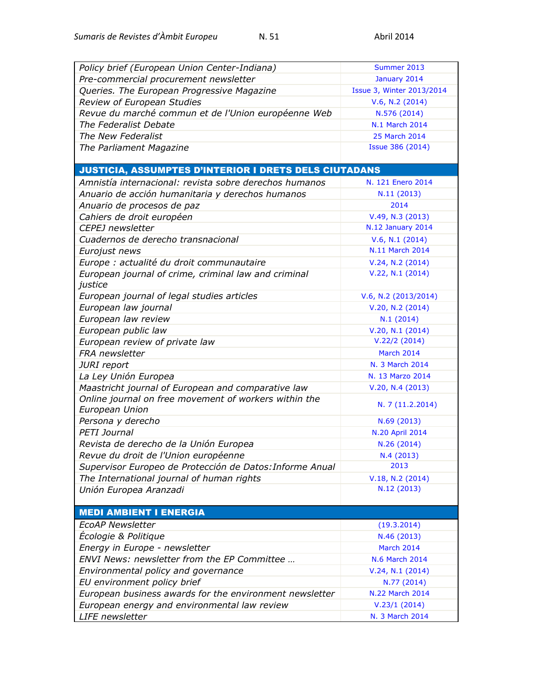| Policy brief (European Union Center-Indiana)<br>Summer 2013<br>Pre-commercial procurement newsletter<br>January 2014<br>Queries. The European Progressive Magazine<br>Issue 3, Winter 2013/2014<br>Review of European Studies<br>V.6, N.2 (2014)<br>Revue du marché commun et de l'Union européenne Web<br>N.576 (2014)<br>The Federalist Debate<br>N.1 March 2014 |  |
|--------------------------------------------------------------------------------------------------------------------------------------------------------------------------------------------------------------------------------------------------------------------------------------------------------------------------------------------------------------------|--|
|                                                                                                                                                                                                                                                                                                                                                                    |  |
|                                                                                                                                                                                                                                                                                                                                                                    |  |
|                                                                                                                                                                                                                                                                                                                                                                    |  |
|                                                                                                                                                                                                                                                                                                                                                                    |  |
|                                                                                                                                                                                                                                                                                                                                                                    |  |
|                                                                                                                                                                                                                                                                                                                                                                    |  |
| The New Federalist<br>25 March 2014                                                                                                                                                                                                                                                                                                                                |  |
| Issue 386 (2014)<br>The Parliament Magazine                                                                                                                                                                                                                                                                                                                        |  |
|                                                                                                                                                                                                                                                                                                                                                                    |  |
| <b>JUSTICIA, ASSUMPTES D'INTERIOR I DRETS DELS CIUTADANS</b>                                                                                                                                                                                                                                                                                                       |  |
| Amnistía internacional: revista sobre derechos humanos<br>N. 121 Enero 2014                                                                                                                                                                                                                                                                                        |  |
| Anuario de acción humanitaria y derechos humanos<br>N.11 (2013)                                                                                                                                                                                                                                                                                                    |  |
| Anuario de procesos de paz<br>2014                                                                                                                                                                                                                                                                                                                                 |  |
| Cahiers de droit européen<br>V.49, N.3 (2013)                                                                                                                                                                                                                                                                                                                      |  |
| <b>N.12 January 2014</b><br><b>CEPEJ</b> newsletter                                                                                                                                                                                                                                                                                                                |  |
| Cuadernos de derecho transnacional<br>V.6, N.1 (2014)                                                                                                                                                                                                                                                                                                              |  |
| N.11 March 2014<br>Eurojust news                                                                                                                                                                                                                                                                                                                                   |  |
| Europe : actualité du droit communautaire<br>V.24, N.2 (2014)                                                                                                                                                                                                                                                                                                      |  |
| V.22, N.1 (2014)<br>European journal of crime, criminal law and criminal                                                                                                                                                                                                                                                                                           |  |
| justice                                                                                                                                                                                                                                                                                                                                                            |  |
| European journal of legal studies articles<br>V.6, N.2 (2013/2014)                                                                                                                                                                                                                                                                                                 |  |
| European law journal<br>V.20, N.2 (2014)                                                                                                                                                                                                                                                                                                                           |  |
| European law review<br>N.1(2014)                                                                                                                                                                                                                                                                                                                                   |  |
| European public law<br>V.20, N.1 (2014)                                                                                                                                                                                                                                                                                                                            |  |
| V.22/2(2014)<br>European review of private law                                                                                                                                                                                                                                                                                                                     |  |
| FRA newsletter<br>March 2014                                                                                                                                                                                                                                                                                                                                       |  |
| N. 3 March 2014<br>JURI report                                                                                                                                                                                                                                                                                                                                     |  |
| La Ley Unión Europea<br>N. 13 Marzo 2014                                                                                                                                                                                                                                                                                                                           |  |
|                                                                                                                                                                                                                                                                                                                                                                    |  |
|                                                                                                                                                                                                                                                                                                                                                                    |  |
| Maastricht journal of European and comparative law<br>V.20, N.4 (2013)                                                                                                                                                                                                                                                                                             |  |
| Online journal on free movement of workers within the<br>N. 7 (11.2.2014)<br>European Union                                                                                                                                                                                                                                                                        |  |
| Persona y derecho<br>N.69 (2013)                                                                                                                                                                                                                                                                                                                                   |  |
| <b>PETI Journal</b><br>N.20 April 2014                                                                                                                                                                                                                                                                                                                             |  |
| Revista de derecho de la Unión Europea<br>N.26 (2014)                                                                                                                                                                                                                                                                                                              |  |
| Revue du droit de l'Union européenne<br>N.4 (2013)                                                                                                                                                                                                                                                                                                                 |  |
| 2013<br>Supervisor Europeo de Protección de Datos: Informe Anual                                                                                                                                                                                                                                                                                                   |  |
| The International journal of human rights<br>V.18, N.2 (2014)                                                                                                                                                                                                                                                                                                      |  |
| N.12 (2013)<br>Unión Europea Aranzadi                                                                                                                                                                                                                                                                                                                              |  |
|                                                                                                                                                                                                                                                                                                                                                                    |  |
| <b>MEDI AMBIENT I ENERGIA</b>                                                                                                                                                                                                                                                                                                                                      |  |
| <b>EcoAP Newsletter</b><br>(19.3.2014)                                                                                                                                                                                                                                                                                                                             |  |
| Ecologie & Politique<br>N.46 (2013)                                                                                                                                                                                                                                                                                                                                |  |
| Energy in Europe - newsletter<br>March 2014                                                                                                                                                                                                                                                                                                                        |  |
| ENVI News: newsletter from the EP Committee<br>N.6 March 2014                                                                                                                                                                                                                                                                                                      |  |
| V.24, N.1 (2014)                                                                                                                                                                                                                                                                                                                                                   |  |
| Environmental policy and governance                                                                                                                                                                                                                                                                                                                                |  |
| EU environment policy brief<br>N.77 (2014)<br>N.22 March 2014                                                                                                                                                                                                                                                                                                      |  |
| European business awards for the environment newsletter<br>European energy and environmental law review<br>V.23/1(2014)                                                                                                                                                                                                                                            |  |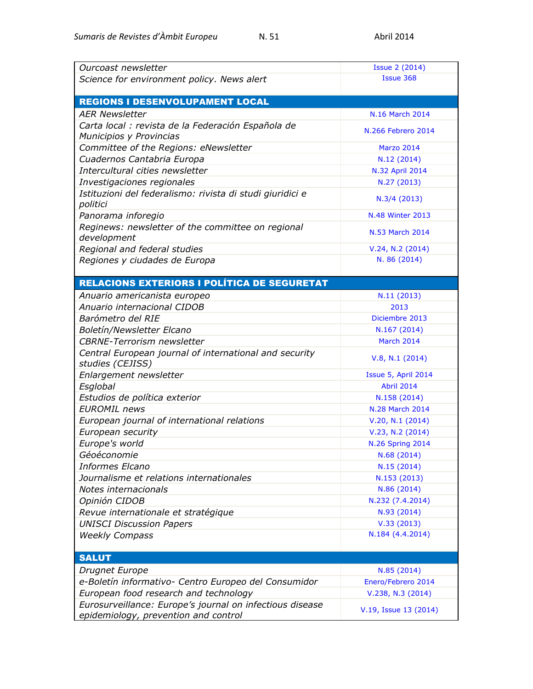| Ourcoast newsletter                                                        | <b>Issue 2 (2014)</b><br>Issue 368 |
|----------------------------------------------------------------------------|------------------------------------|
| Science for environment policy. News alert                                 |                                    |
| <b>REGIONS I DESENVOLUPAMENT LOCAL</b>                                     |                                    |
|                                                                            |                                    |
| <b>AER Newsletter</b>                                                      | N.16 March 2014                    |
| Carta local : revista de la Federación Española de                         | N.266 Febrero 2014                 |
| Municipios y Provincias                                                    |                                    |
| Committee of the Regions: eNewsletter                                      | <b>Marzo 2014</b>                  |
| Cuadernos Cantabria Europa                                                 | N.12 (2014)                        |
| Intercultural cities newsletter                                            | N.32 April 2014                    |
| Investigaciones regionales                                                 | N.27 (2013)                        |
| Istituzioni del federalismo: rivista di studi giuridici e<br>politici      | N.3/4 (2013)                       |
| Panorama inforegio                                                         | <b>N.48 Winter 2013</b>            |
| Reginews: newsletter of the committee on regional<br>development           | N.53 March 2014                    |
| Regional and federal studies                                               | V.24, N.2 (2014)                   |
| Regiones y ciudades de Europa                                              | N. 86 (2014)                       |
|                                                                            |                                    |
| <b>RELACIONS EXTERIORS I POLÍTICA DE SEGURETAT</b>                         |                                    |
| Anuario americanista europeo                                               | N.11(2013)                         |
| Anuario internacional CIDOB                                                | 2013                               |
| Barómetro del RIE                                                          | Diciembre 2013                     |
| Boletín/Newsletter Elcano                                                  | N.167 (2014)                       |
| <b>CBRNE-Terrorism newsletter</b>                                          | March 2014                         |
| Central European journal of international and security<br>studies (CEJISS) | V.8, N.1 (2014)                    |
| Enlargement newsletter                                                     | Issue 5, April 2014                |
| Esglobal                                                                   | <b>Abril 2014</b>                  |
| Estudios de política exterior                                              | N.158 (2014)                       |
| <b>EUROMIL</b> news                                                        | N.28 March 2014                    |
| European journal of international relations                                | V.20, N.1 (2014)                   |
| European security                                                          | V.23, N.2 (2014)                   |
| Europe's world                                                             | <b>N.26 Spring 2014</b>            |
| Géoéconomie                                                                | N.68 (2014)                        |
| <b>Informes Elcano</b>                                                     | N.15(2014)                         |
| Journalisme et relations internationales                                   | N.153 (2013)                       |
| Notes internacionals                                                       | N.86 (2014)                        |
| Opinión CIDOB                                                              | N.232 (7.4.2014)                   |
| Revue internationale et stratégique                                        | N.93 (2014)                        |
| <b>UNISCI Discussion Papers</b>                                            | V.33(2013)                         |
| <b>Weekly Compass</b>                                                      | N.184 (4.4.2014)                   |
|                                                                            |                                    |
| <b>SALUT</b>                                                               |                                    |
| Drugnet Europe                                                             | N.85 (2014)                        |
| e-Boletín informativo- Centro Europeo del Consumidor                       | Enero/Febrero 2014                 |
| European food research and technology                                      | V.238, N.3 (2014)                  |
| Eurosurveillance: Europe's journal on infectious disease                   |                                    |
| epidemiology, prevention and control                                       | V.19, Issue 13 (2014)              |